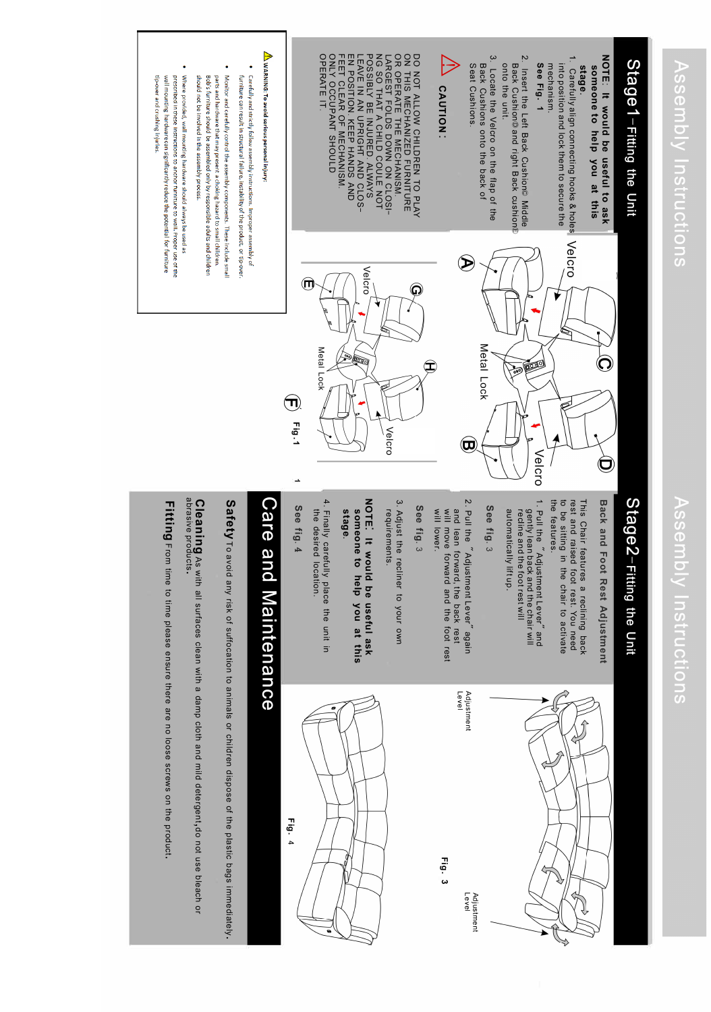# Stage1-Fitting the Unit Stage 1-Fitting the Unit

#### NOTE: It would be useful to ask<br>someone to help you at this **NOTE: It would be useful to ask stage. someone to help you at this**

1. Carefully align connecting hooks & holes VelCrO into position and lock them to secure the Carefully align connecting hooks & holes into position and lock them to secure the mechanism.

#### See Fig. 1 **See Fig. 1**  mechanism.

- 2. Insert t h e Left Back Cushion© Middle B ack Cushion© and right Bac k cushion!El onto the unit.
- نب Locate the Velcro o n the flap of the B ack Cushions o nto t h e back of Seat Cus hio n s.

#### **ALL CAUTION CAUTION:**

OPERATE IT. OPERATE IT. ONLY OCCUPANT SHOULD  $\mathbb{R}$ EN POSITION. KEEP HANDS AND LEAVE IN AN UPRIGHT AND CLOS-POSSIBLY NG LARGEST FOLDS OR O P ON THIS MECHANIZED FURNITURE DO NOT ALLOW CHILDREN ET CLEAR SO THAT A CHILD COULE ERATE THE MEC B E O F INJURED. MECHANISM.  $\Box$ OWN ON CLOSI-H A NISM. A LWAYS T O NOT PLAY

# $\sqrt{1}$  WARNING: To avoid serious personal injury:

- · Carefully and strictly follow assembly instructions. Improper assembly of furniture can result in structural failure, instability of the product, or tip-over.
- Monitor and carefully control the assembly components. These include small should not be involved in the assembly process Bob's furniture should be assembled only by responsible adults and children parts and hardware that may present a choking hazard to small children.
- Where provided, wall mounting hardware should always be used as tip-over and crushing injuries. prescribed in these instructions to anchor furniture to wall. Proper use of the wall mounting hardware can significantly reduce the potential for furniture





### $\boldsymbol{\Theta}$ **Fig. 1**  L.

# Stage2-Fitting the Unit Stagez-Fitting the Unit

Back and Foot Rest Adjustment **Back and Foot Rest Adjustment** 

rest and raised foot rest. You need<br>to be sitting in the chair to activate<br>the features. the features. to be sitting in the chair to activate rest and raised foot rest. You need This Chair features a reclining back This Chair features a reclining back

1. Pull the "Adjustment Lever" and 1. Pull the "Adjustment Lever" and automatically lift up. recline and the foot rest will gently lean back and the chair will automatically lift up. recline and the foot rest will gently lean back and the chair will

### **See fig. 3**

2. Pull the "Adjustment Lever" again 2. Pull the Adjustment Lever again will lower. will move forward and the foot rest and lean forward, the back rest will lower. will move forward and the foot rest and lean forward, the back rest

### **See fig.** 3

3. Adjust the recliner to your own 3. Adjust the recliner to your own requirements. requirements.

#### NOTE. It would be useful ask **NOTE: It would be useful ask stage.**  someone to help you at this **someone to help you at this**

4. Finally carefully place the unit in 4. Finally carefully place the unit in the desired location. the desired location.

## **See fig. 4**



**Fig. 3** 



### Care and M aintenance

Safety To avoid any risk of suffocation to a nimals o r children dispose of t h e plastic bags immediately.

abrasive products. abrasive products. **Cleaning** As with all surfaces clean with a damp cloth a n d mild detergent,do not use bleach or

**Fitting** From time to time please ensure there are no loose screws on t h e product.